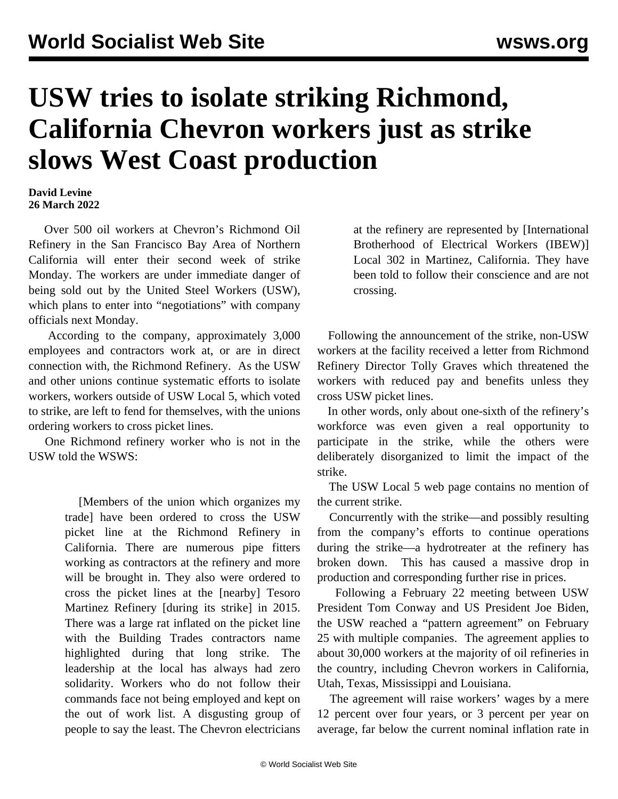## **USW tries to isolate striking Richmond, California Chevron workers just as strike slows West Coast production**

## **David Levine 26 March 2022**

 Over 500 oil workers at Chevron's Richmond Oil Refinery in the San Francisco Bay Area of Northern California will enter their second week of strike Monday. The workers are under immediate danger of being sold out by the United Steel Workers (USW), which plans to enter into "negotiations" with company officials next Monday.

 According to the company, approximately 3,000 employees and contractors work at, or are in direct connection with, the Richmond Refinery. As the USW and other unions continue systematic efforts to isolate workers, workers outside of USW Local 5, which voted to strike, are left to fend for themselves, with the unions ordering workers to cross picket lines.

 One Richmond refinery worker who is not in the USW told the WSWS:

> [Members of the union which organizes my trade] have been ordered to cross the USW picket line at the Richmond Refinery in California. There are numerous pipe fitters working as contractors at the refinery and more will be brought in. They also were ordered to cross the picket lines at the [nearby] Tesoro Martinez Refinery [during its strike] in 2015. There was a large rat inflated on the picket line with the Building Trades contractors name highlighted during that long strike. The leadership at the local has always had zero solidarity. Workers who do not follow their commands face not being employed and kept on the out of work list. A disgusting group of people to say the least. The Chevron electricians

at the refinery are represented by [International Brotherhood of Electrical Workers (IBEW)] Local 302 in Martinez, California. They have been told to follow their conscience and are not crossing.

 Following the announcement of the strike, non-USW workers at the facility received a letter from Richmond Refinery Director Tolly Graves which threatened the workers with reduced pay and benefits unless they cross USW picket lines.

 In other words, only about one-sixth of the refinery's workforce was even given a real opportunity to participate in the strike, while the others were deliberately disorganized to limit the impact of the strike.

 The USW Local 5 web page contains no mention of the current strike.

 Concurrently with the strike—and possibly resulting from the company's efforts to continue operations during the strike—a hydrotreater at the refinery has broken down. This has caused a massive drop in production and corresponding further rise in prices.

 Following a February 22 meeting between USW President Tom Conway and US President Joe Biden, the USW reached a "pattern agreement" on February 25 with multiple companies. The agreement applies to about 30,000 workers at the majority of oil refineries in the country, including Chevron workers in California, Utah, Texas, Mississippi and Louisiana.

 The agreement will raise workers' wages by a mere 12 percent over four years, or 3 percent per year on average, far below the current nominal inflation rate in